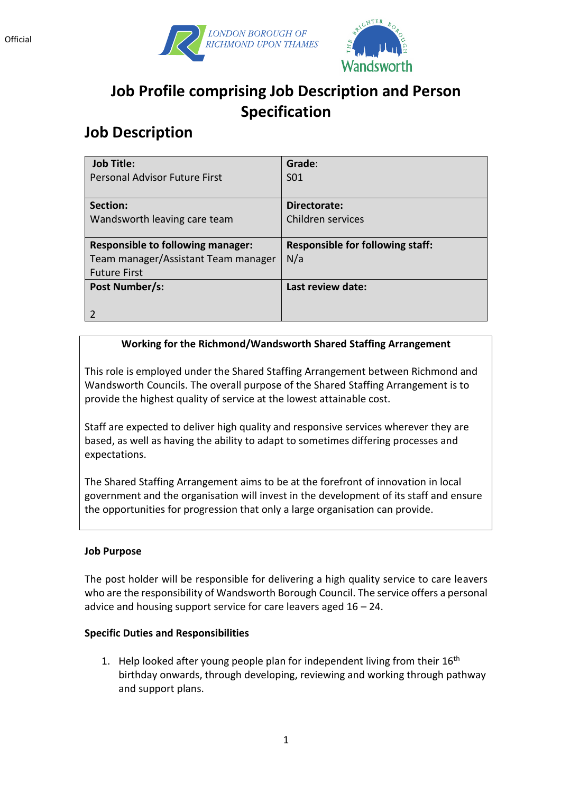



# **Job Profile comprising Job Description and Person Specification**

## **Job Description**

| <b>Job Title:</b>                        | Grade:                                  |
|------------------------------------------|-----------------------------------------|
| <b>Personal Advisor Future First</b>     | S <sub>01</sub>                         |
|                                          |                                         |
| Section:                                 | Directorate:                            |
| Wandsworth leaving care team             | Children services                       |
|                                          |                                         |
| <b>Responsible to following manager:</b> | <b>Responsible for following staff:</b> |
| Team manager/Assistant Team manager      | N/a                                     |
| <b>Future First</b>                      |                                         |
| Post Number/s:                           | Last review date:                       |
|                                          |                                         |
|                                          |                                         |

### **Working for the Richmond/Wandsworth Shared Staffing Arrangement**

This role is employed under the Shared Staffing Arrangement between Richmond and Wandsworth Councils. The overall purpose of the Shared Staffing Arrangement is to provide the highest quality of service at the lowest attainable cost.

Staff are expected to deliver high quality and responsive services wherever they are based, as well as having the ability to adapt to sometimes differing processes and expectations.

The Shared Staffing Arrangement aims to be at the forefront of innovation in local government and the organisation will invest in the development of its staff and ensure the opportunities for progression that only a large organisation can provide.

#### **Job Purpose**

The post holder will be responsible for delivering a high quality service to care leavers who are the responsibility of Wandsworth Borough Council. The service offers a personal advice and housing support service for care leavers aged  $16 - 24$ .

#### **Specific Duties and Responsibilities**

1. Help looked after young people plan for independent living from their  $16<sup>th</sup>$ birthday onwards, through developing, reviewing and working through pathway and support plans.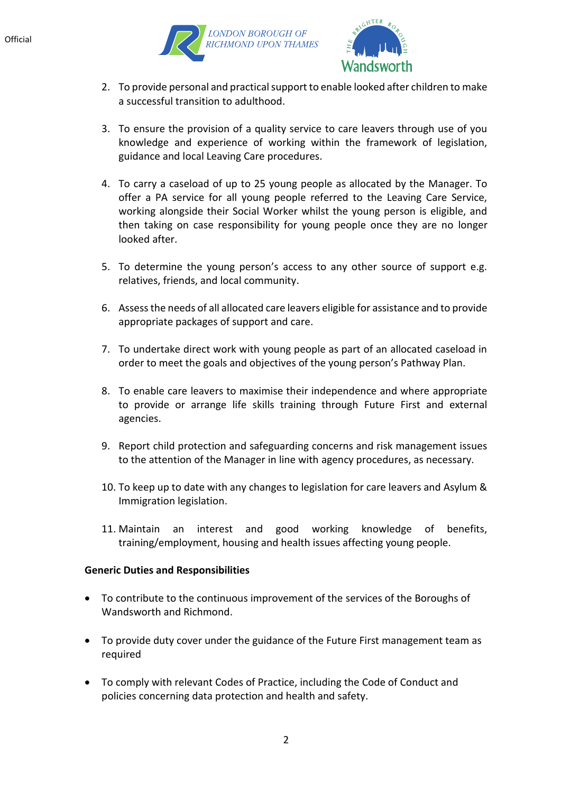



- 2. To provide personal and practical support to enable looked after children to make a successful transition to adulthood.
- 3. To ensure the provision of a quality service to care leavers through use of you knowledge and experience of working within the framework of legislation, guidance and local Leaving Care procedures.
- 4. To carry a caseload of up to 25 young people as allocated by the Manager. To offer a PA service for all young people referred to the Leaving Care Service, working alongside their Social Worker whilst the young person is eligible, and then taking on case responsibility for young people once they are no longer looked after.
- 5. To determine the young person's access to any other source of support e.g. relatives, friends, and local community.
- 6. Assess the needs of all allocated care leavers eligible for assistance and to provide appropriate packages of support and care.
- 7. To undertake direct work with young people as part of an allocated caseload in order to meet the goals and objectives of the young person's Pathway Plan.
- 8. To enable care leavers to maximise their independence and where appropriate to provide or arrange life skills training through Future First and external agencies.
- 9. Report child protection and safeguarding concerns and risk management issues to the attention of the Manager in line with agency procedures, as necessary.
- 10. To keep up to date with any changes to legislation for care leavers and Asylum & Immigration legislation.
- 11. Maintain an interest and good working knowledge of benefits, training/employment, housing and health issues affecting young people.

#### **Generic Duties and Responsibilities**

- To contribute to the continuous improvement of the services of the Boroughs of Wandsworth and Richmond.
- To provide duty cover under the guidance of the Future First management team as required
- To comply with relevant Codes of Practice, including the Code of Conduct and policies concerning data protection and health and safety.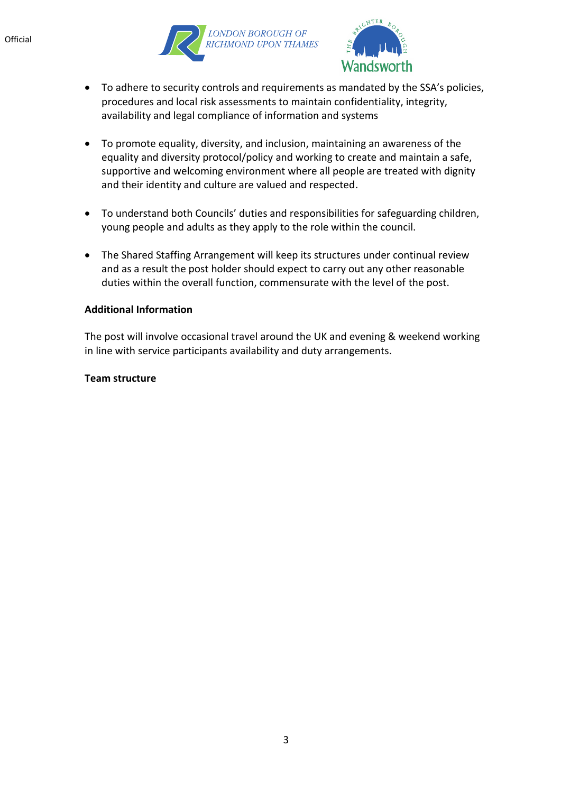



- To adhere to security controls and requirements as mandated by the SSA's policies, procedures and local risk assessments to maintain confidentiality, integrity, availability and legal compliance of information and systems
- To promote equality, diversity, and inclusion, maintaining an awareness of the equality and diversity protocol/policy and working to create and maintain a safe, supportive and welcoming environment where all people are treated with dignity and their identity and culture are valued and respected.
- To understand both Councils' duties and responsibilities for safeguarding children, young people and adults as they apply to the role within the council.
- The Shared Staffing Arrangement will keep its structures under continual review and as a result the post holder should expect to carry out any other reasonable duties within the overall function, commensurate with the level of the post.

#### **Additional Information**

The post will involve occasional travel around the UK and evening & weekend working in line with service participants availability and duty arrangements.

#### **Team structure**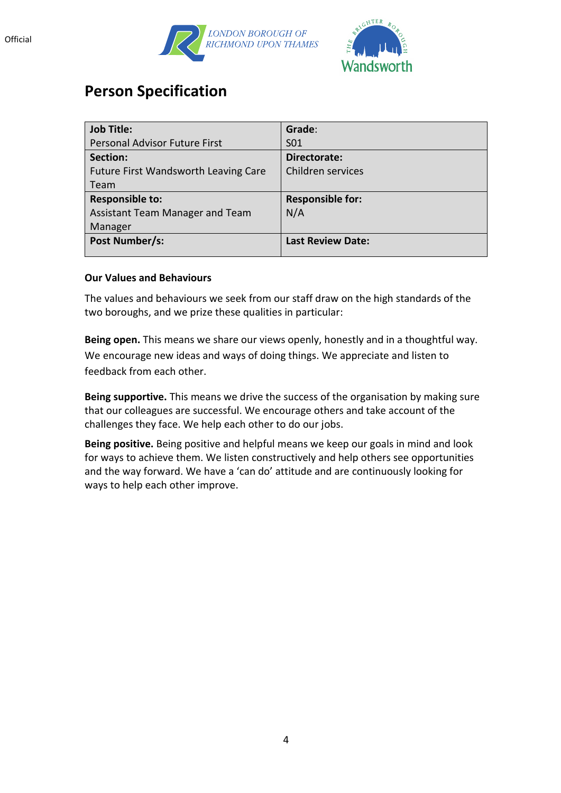





## **Person Specification**

| <b>Job Title:</b>                    | Grade:                   |
|--------------------------------------|--------------------------|
| <b>Personal Advisor Future First</b> | S <sub>01</sub>          |
| Section:                             | Directorate:             |
| Future First Wandsworth Leaving Care | Children services        |
| Team                                 |                          |
| <b>Responsible to:</b>               | <b>Responsible for:</b>  |
| Assistant Team Manager and Team      | N/A                      |
| Manager                              |                          |
| Post Number/s:                       | <b>Last Review Date:</b> |
|                                      |                          |

#### **Our Values and Behaviours**

The values and behaviours we seek from our staff draw on the high standards of the two boroughs, and we prize these qualities in particular:

**Being open.** This means we share our views openly, honestly and in a thoughtful way. We encourage new ideas and ways of doing things. We appreciate and listen to feedback from each other.

**Being supportive.** This means we drive the success of the organisation by making sure that our colleagues are successful. We encourage others and take account of the challenges they face. We help each other to do our jobs.

**Being positive.** Being positive and helpful means we keep our goals in mind and look for ways to achieve them. We listen constructively and help others see opportunities and the way forward. We have a 'can do' attitude and are continuously looking for ways to help each other improve.